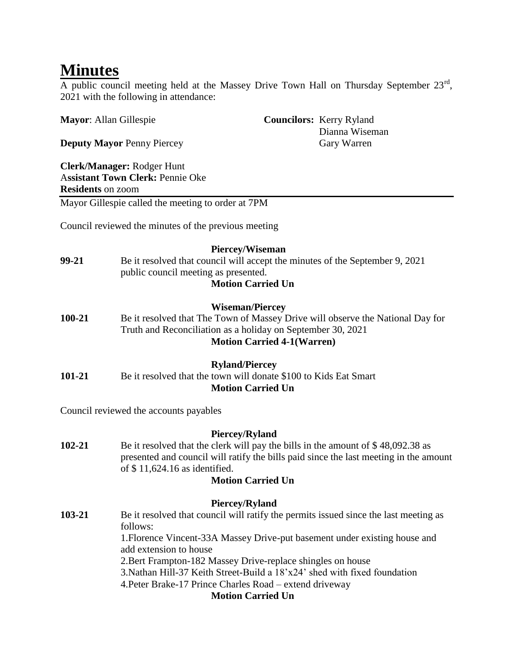# **Minutes**

A public council meeting held at the Massey Drive Town Hall on Thursday September  $23<sup>rd</sup>$ , 2021 with the following in attendance:

| <b>Mayor:</b> Allan Gillespie     |                                                                                                                                                                     |                                                                                                                                                                                                              | <b>Councilors:</b> Kerry Ryland<br>Dianna Wiseman                                                                                                                         |  |
|-----------------------------------|---------------------------------------------------------------------------------------------------------------------------------------------------------------------|--------------------------------------------------------------------------------------------------------------------------------------------------------------------------------------------------------------|---------------------------------------------------------------------------------------------------------------------------------------------------------------------------|--|
| <b>Deputy Mayor Penny Piercey</b> |                                                                                                                                                                     |                                                                                                                                                                                                              | Gary Warren                                                                                                                                                               |  |
| <b>Residents on zoom</b>          | Clerk/Manager: Rodger Hunt<br><b>Assistant Town Clerk: Pennie Oke</b>                                                                                               |                                                                                                                                                                                                              |                                                                                                                                                                           |  |
|                                   | Mayor Gillespie called the meeting to order at 7PM                                                                                                                  |                                                                                                                                                                                                              |                                                                                                                                                                           |  |
|                                   | Council reviewed the minutes of the previous meeting                                                                                                                |                                                                                                                                                                                                              |                                                                                                                                                                           |  |
| 99-21                             | Piercey/Wiseman<br>Be it resolved that council will accept the minutes of the September 9, 2021<br>public council meeting as presented.<br><b>Motion Carried Un</b> |                                                                                                                                                                                                              |                                                                                                                                                                           |  |
| 100-21                            |                                                                                                                                                                     | <b>Wiseman/Piercey</b><br>Be it resolved that The Town of Massey Drive will observe the National Day for<br>Truth and Reconciliation as a holiday on September 30, 2021<br><b>Motion Carried 4-1(Warren)</b> |                                                                                                                                                                           |  |
| 101-21                            |                                                                                                                                                                     | <b>Ryland/Piercey</b><br>Be it resolved that the town will donate \$100 to Kids Eat Smart<br><b>Motion Carried Un</b>                                                                                        |                                                                                                                                                                           |  |
|                                   | Council reviewed the accounts payables                                                                                                                              |                                                                                                                                                                                                              |                                                                                                                                                                           |  |
| 102-21                            | of $$11,624.16$ as identified.                                                                                                                                      | <b>Piercey/Ryland</b><br><b>Motion Carried Un</b>                                                                                                                                                            | Be it resolved that the clerk will pay the bills in the amount of \$48,092.38 as<br>presented and council will ratify the bills paid since the last meeting in the amount |  |
| 103-21                            | follows:<br>add extension to house                                                                                                                                  | <b>Piercey/Ryland</b>                                                                                                                                                                                        | Be it resolved that council will ratify the permits issued since the last meeting as<br>1. Florence Vincent-33A Massey Drive-put basement under existing house and        |  |

2.Bert Frampton-182 Massey Drive-replace shingles on house

3.Nathan Hill-37 Keith Street-Build a 18'x24' shed with fixed foundation

4.Peter Brake-17 Prince Charles Road – extend driveway

**Motion Carried Un**